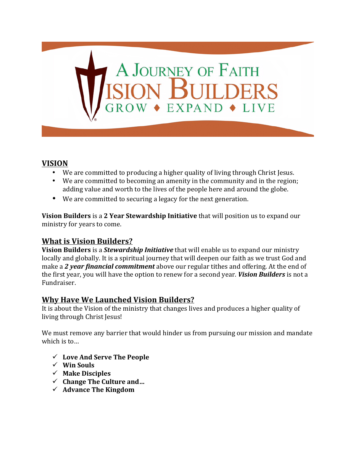# A JOURNEY OF FAITH<br>SION BUILDERS EXPAND + LIVE

#### **VISION**

- We are committed to producing a higher quality of living through Christ Jesus.
- We are committed to becoming an amenity in the community and in the region; adding value and worth to the lives of the people here and around the globe.
- We are committed to securing a legacy for the next generation.

**Vision Builders** is a 2 Year Stewardship Initiative that will position us to expand our ministry for years to come.

#### **What is Vision Builders?**

**Vision Builders** is a *Stewardship Initiative* that will enable us to expand our ministry locally and globally. It is a spiritual journey that will deepen our faith as we trust God and make a 2 year *financial commitment* above our regular tithes and offering. At the end of the first year, you will have the option to renew for a second year. *Vision Builders* is not a Fundraiser.

#### **Why Have We Launched Vision Builders?**

It is about the Vision of the ministry that changes lives and produces a higher quality of living through Christ Jesus!

We must remove any barrier that would hinder us from pursuing our mission and mandate which is to...

- ü **Love And Serve The People**
- $\checkmark$  Win Souls
- ü **Make Disciples**
- $\checkmark$  Change The Culture and...
- $\checkmark$  Advance The Kingdom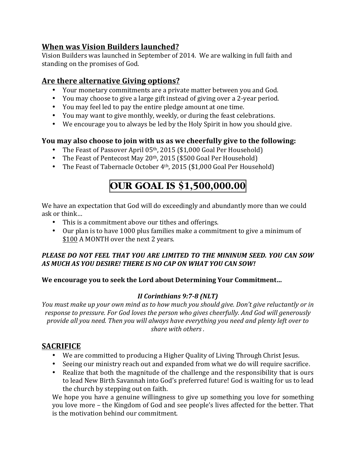# **When was Vision Builders launched?**

Vision Builders was launched in September of 2014. We are walking in full faith and standing on the promises of God.

# Are there alternative Giving options?

- Your monetary commitments are a private matter between you and God.
- You may choose to give a large gift instead of giving over a 2-year period.
- You may feel led to pay the entire pledge amount at one time.
- You may want to give monthly, weekly, or during the feast celebrations.
- We encourage you to always be led by the Holy Spirit in how you should give.

## **You may also choose to join with us as we cheerfully give to the following:**

- The Feast of Passover April  $05<sup>th</sup>$ , 2015 (\$1,000 Goal Per Household)
- The Feast of Pentecost May  $20<sup>th</sup>$ , 2015 (\$500 Goal Per Household)
- The Feast of Tabernacle October  $4<sup>th</sup>$ , 2015 (\$1,000 Goal Per Household)

# **OUR GOAL IS \$1,500,000.00**

We have an expectation that God will do exceedingly and abundantly more than we could ask or think…

- This is a commitment above our tithes and offerings.
- Our plan is to have 1000 plus families make a commitment to give a minimum of \$100 A MONTH over the next 2 years.

#### PLEASE DO NOT FEEL THAT YOU ARE LIMITED TO THE MININUM SEED. YOU CAN SOW *AS MUCH AS YOU DESIRE! THERE IS NO CAP ON WHAT YOU CAN SOW!*

#### We encourage you to seek the Lord about Determining Your Commitment...

#### *<i>II* Corinthians 9:7-8 (NLT)

*You must make up your own mind as to how much you should give. Don't give reluctantly or in* response to pressure. For God loves the person who gives cheerfully. And God will generously *provide all you need. Then you will always have everything you need and plenty left over to* share with others.

# **SACRIFICE**

- We are committed to producing a Higher Quality of Living Through Christ Jesus.
- Seeing our ministry reach out and expanded from what we do will require sacrifice.
- Realize that both the magnitude of the challenge and the responsibility that is ours to lead New Birth Savannah into God's preferred future! God is waiting for us to lead the church by stepping out on faith.

We hope you have a genuine willingness to give up something you love for something you love more – the Kingdom of God and see people's lives affected for the better. That is the motivation behind our commitment.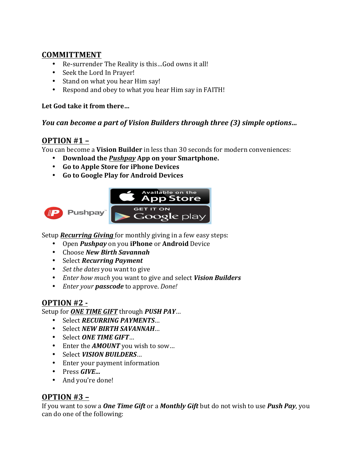## **COMMITTMENT**

- Re-surrender The Reality is this...God owns it all!
- Seek the Lord In Prayer!
- Stand on what you hear Him say!
- Respond and obey to what you hear Him say in FAITH!

#### Let God take it from there...

#### *You* can become a part of Vision Builders through three (3) simple options...

## **OPTION #1 -**

You can become a **Vision Builder** in less than 30 seconds for modern conveniences:

- Download the *Pushpay* App on your Smartphone.
- **Go to Apple Store for iPhone Devices**
- **Go to Google Play for Android Devices**



Setup **Recurring Giving** for monthly giving in a few easy steps:

- Open *Pushpay* on you **iPhone** or **Android** Device
- Choose *New Birth Savannah*
- Select *Recurring Payment*
- *Set the dates* you want to give
- *Enter how much* you want to give and select *Vision Builders*
- *Enter your passcode* to approve. *Done!*

# **OPTION #2 -**

Setup for **ONE TIME GIFT** through **PUSH PAY...** 

- Select **RECURRING PAYMENTS...**
- Select *NEW BIRTH SAVANNAH*…
- Select ONE TIME GIFT...
- Enter the **AMOUNT** you wish to sow...
- Select *VISION BUILDERS*...
- Enter your payment information
- Press *GIVE…*
- And you're done!

#### **OPTION** #3 –

If you want to sow a **One Time Gift** or a **Monthly Gift** but do not wish to use **Push Pay**, you can do one of the following: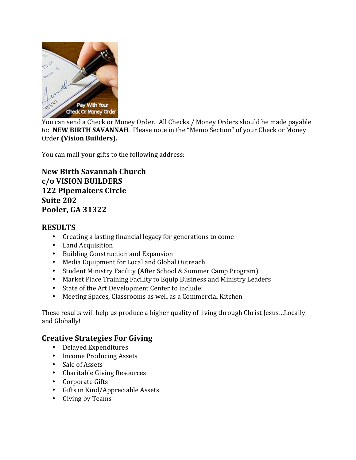

You can send a Check or Money Order. All Checks / Money Orders should be made payable to: **NEW BIRTH SAVANNAH**. Please note in the "Memo Section" of your Check or Money Order (Vision Builders).

You can mail your gifts to the following address:

**New Birth Savannah Church c/o VISION BUILDERS 122 Pipemakers Circle Suite 202 Pooler, GA 31322**

# **RESULTS**

- Creating a lasting financial legacy for generations to come
- Land Acquisition
- Building Construction and Expansion
- Media Equipment for Local and Global Outreach
- Student Ministry Facility (After School & Summer Camp Program)
- Market Place Training Facility to Equip Business and Ministry Leaders
- State of the Art Development Center to include:
- Meeting Spaces, Classrooms as well as a Commercial Kitchen

These results will help us produce a higher quality of living through Christ Jesus...Locally and Globally!

# **Creative Strategies For Giving**

- Delayed Expenditures
- Income Producing Assets
- Sale of Assets
- Charitable Giving Resources
- Corporate Gifts
- $\bullet$  Gifts in Kind/Appreciable Assets
- Giving by Teams